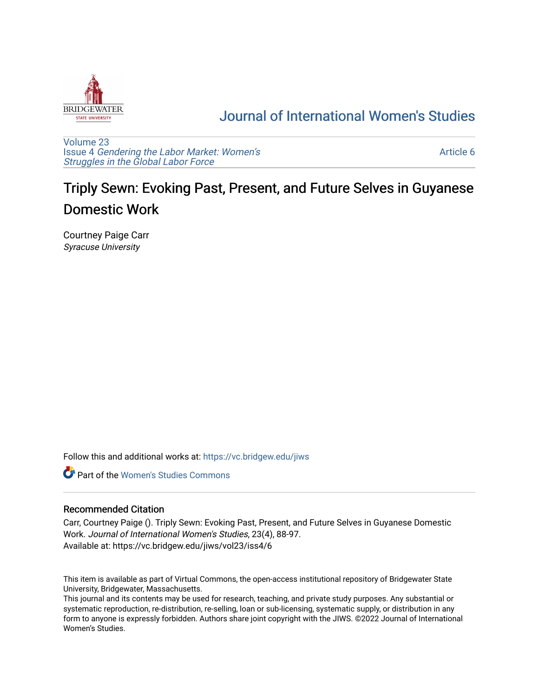

## [Journal of International Women's Studies](https://vc.bridgew.edu/jiws)

[Volume 23](https://vc.bridgew.edu/jiws/vol23) Issue 4 [Gendering the Labor Market: Women's](https://vc.bridgew.edu/jiws/vol23/iss4) [Struggles in the Global Labor Force](https://vc.bridgew.edu/jiws/vol23/iss4)

[Article 6](https://vc.bridgew.edu/jiws/vol23/iss4/6) 

# Triply Sewn: Evoking Past, Present, and Future Selves in Guyanese Domestic Work

Courtney Paige Carr Syracuse University

Follow this and additional works at: [https://vc.bridgew.edu/jiws](https://vc.bridgew.edu/jiws?utm_source=vc.bridgew.edu%2Fjiws%2Fvol23%2Fiss4%2F6&utm_medium=PDF&utm_campaign=PDFCoverPages)

**C** Part of the Women's Studies Commons

#### Recommended Citation

Carr, Courtney Paige (). Triply Sewn: Evoking Past, Present, and Future Selves in Guyanese Domestic Work. Journal of International Women's Studies, 23(4), 88-97. Available at: https://vc.bridgew.edu/jiws/vol23/iss4/6

This item is available as part of Virtual Commons, the open-access institutional repository of Bridgewater State University, Bridgewater, Massachusetts.

This journal and its contents may be used for research, teaching, and private study purposes. Any substantial or systematic reproduction, re-distribution, re-selling, loan or sub-licensing, systematic supply, or distribution in any form to anyone is expressly forbidden. Authors share joint copyright with the JIWS. ©2022 Journal of International Women's Studies.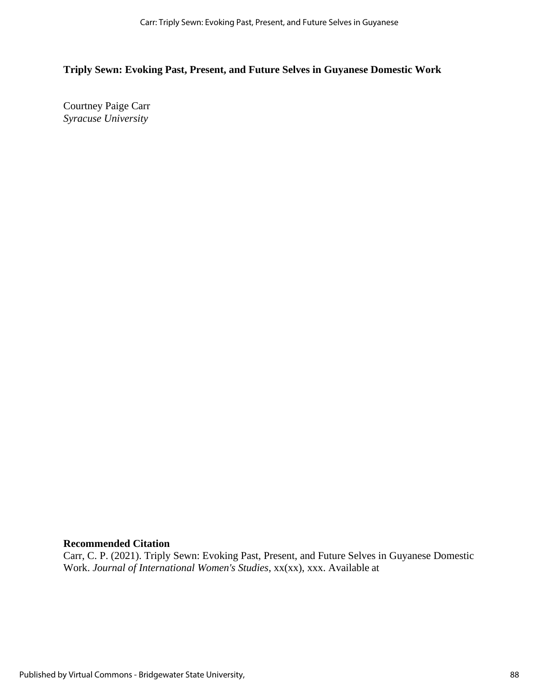## **Triply Sewn: Evoking Past, Present, and Future Selves in Guyanese Domestic Work**

Courtney Paige Carr *Syracuse University*

## **Recommended Citation**

Carr, C. P. (2021). Triply Sewn: Evoking Past, Present, and Future Selves in Guyanese Domestic Work. *Journal of International Women's Studies*, xx(xx), xxx. Available at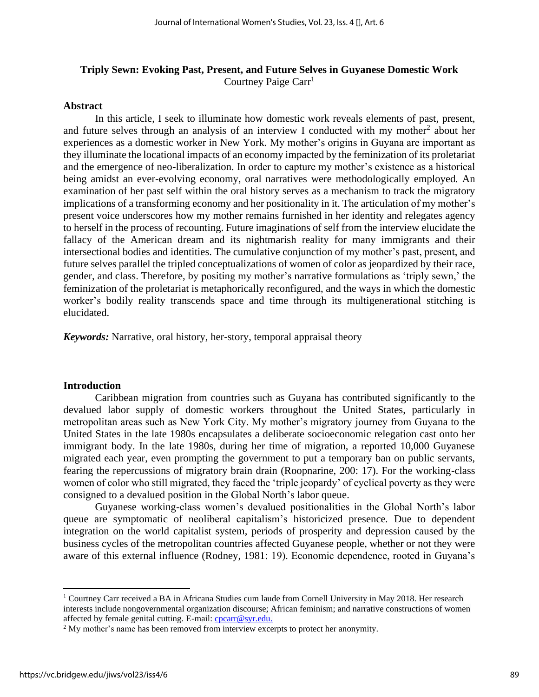## **Triply Sewn: Evoking Past, Present, and Future Selves in Guyanese Domestic Work** Courtney Paige Carr<sup>1</sup>

#### **Abstract**

In this article, I seek to illuminate how domestic work reveals elements of past, present, and future selves through an analysis of an interview I conducted with my mother<sup>2</sup> about her experiences as a domestic worker in New York. My mother's origins in Guyana are important as they illuminate the locational impacts of an economy impacted by the feminization of its proletariat and the emergence of neo-liberalization. In order to capture my mother's existence as a historical being amidst an ever-evolving economy, oral narratives were methodologically employed*.* An examination of her past self within the oral history serves as a mechanism to track the migratory implications of a transforming economy and her positionality in it. The articulation of my mother's present voice underscores how my mother remains furnished in her identity and relegates agency to herself in the process of recounting. Future imaginations of self from the interview elucidate the fallacy of the American dream and its nightmarish reality for many immigrants and their intersectional bodies and identities. The cumulative conjunction of my mother's past, present, and future selves parallel the tripled conceptualizations of women of color as jeopardized by their race, gender, and class. Therefore, by positing my mother's narrative formulations as 'triply sewn,' the feminization of the proletariat is metaphorically reconfigured, and the ways in which the domestic worker's bodily reality transcends space and time through its multigenerational stitching is elucidated.

*Keywords:* Narrative, oral history, her-story, temporal appraisal theory

#### **Introduction**

Caribbean migration from countries such as Guyana has contributed significantly to the devalued labor supply of domestic workers throughout the United States, particularly in metropolitan areas such as New York City. My mother's migratory journey from Guyana to the United States in the late 1980s encapsulates a deliberate socioeconomic relegation cast onto her immigrant body. In the late 1980s, during her time of migration, a reported 10,000 Guyanese migrated each year, even prompting the government to put a temporary ban on public servants, fearing the repercussions of migratory brain drain (Roopnarine, 200: 17). For the working-class women of color who still migrated, they faced the 'triple jeopardy' of cyclical poverty as they were consigned to a devalued position in the Global North's labor queue.

Guyanese working-class women's devalued positionalities in the Global North's labor queue are symptomatic of neoliberal capitalism's historicized presence*.* Due to dependent integration on the world capitalist system, periods of prosperity and depression caused by the business cycles of the metropolitan countries affected Guyanese people, whether or not they were aware of this external influence (Rodney, 1981: 19). Economic dependence, rooted in Guyana's

<sup>1</sup> Courtney Carr received a BA in Africana Studies cum laude from Cornell University in May 2018. Her research interests include nongovernmental organization discourse; African feminism; and narrative constructions of women affected by female genital cutting. E-mail: [cpcarr@syr.edu.](mailto:cpcarr@syr.edu)

<sup>&</sup>lt;sup>2</sup> My mother's name has been removed from interview excerpts to protect her anonymity.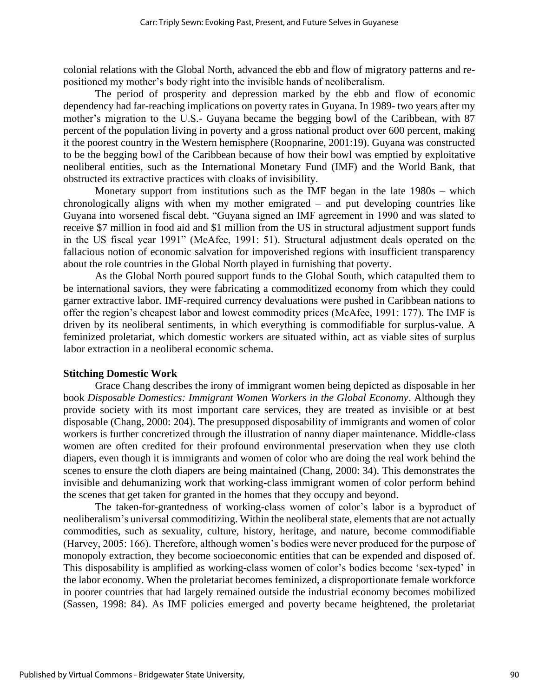colonial relations with the Global North, advanced the ebb and flow of migratory patterns and repositioned my mother's body right into the invisible hands of neoliberalism.

The period of prosperity and depression marked by the ebb and flow of economic dependency had far-reaching implications on poverty rates in Guyana. In 1989- two years after my mother's migration to the U.S.- Guyana became the begging bowl of the Caribbean, with 87 percent of the population living in poverty and a gross national product over 600 percent, making it the poorest country in the Western hemisphere (Roopnarine, 2001:19). Guyana was constructed to be the begging bowl of the Caribbean because of how their bowl was emptied by exploitative neoliberal entities, such as the International Monetary Fund (IMF) and the World Bank, that obstructed its extractive practices with cloaks of invisibility.

Monetary support from institutions such as the IMF began in the late 1980s – which chronologically aligns with when my mother emigrated – and put developing countries like Guyana into worsened fiscal debt. "Guyana signed an IMF agreement in 1990 and was slated to receive \$7 million in food aid and \$1 million from the US in structural adjustment support funds in the US fiscal year 1991" (McAfee, 1991: 51). Structural adjustment deals operated on the fallacious notion of economic salvation for impoverished regions with insufficient transparency about the role countries in the Global North played in furnishing that poverty.

As the Global North poured support funds to the Global South, which catapulted them to be international saviors, they were fabricating a commoditized economy from which they could garner extractive labor. IMF-required currency devaluations were pushed in Caribbean nations to offer the region's cheapest labor and lowest commodity prices (McAfee, 1991: 177). The IMF is driven by its neoliberal sentiments, in which everything is commodifiable for surplus-value. A feminized proletariat, which domestic workers are situated within, act as viable sites of surplus labor extraction in a neoliberal economic schema.

#### **Stitching Domestic Work**

Grace Chang describes the irony of immigrant women being depicted as disposable in her book *Disposable Domestics: Immigrant Women Workers in the Global Economy*. Although they provide society with its most important care services, they are treated as invisible or at best disposable (Chang, 2000: 204). The presupposed disposability of immigrants and women of color workers is further concretized through the illustration of nanny diaper maintenance. Middle-class women are often credited for their profound environmental preservation when they use cloth diapers, even though it is immigrants and women of color who are doing the real work behind the scenes to ensure the cloth diapers are being maintained (Chang, 2000: 34). This demonstrates the invisible and dehumanizing work that working-class immigrant women of color perform behind the scenes that get taken for granted in the homes that they occupy and beyond.

The taken-for-grantedness of working-class women of color's labor is a byproduct of neoliberalism's universal commoditizing. Within the neoliberal state, elements that are not actually commodities, such as sexuality, culture, history, heritage, and nature, become commodifiable (Harvey, 2005: 166). Therefore, although women's bodies were never produced for the purpose of monopoly extraction, they become socioeconomic entities that can be expended and disposed of. This disposability is amplified as working-class women of color's bodies become 'sex-typed' in the labor economy. When the proletariat becomes feminized, a disproportionate female workforce in poorer countries that had largely remained outside the industrial economy becomes mobilized (Sassen, 1998: 84). As IMF policies emerged and poverty became heightened, the proletariat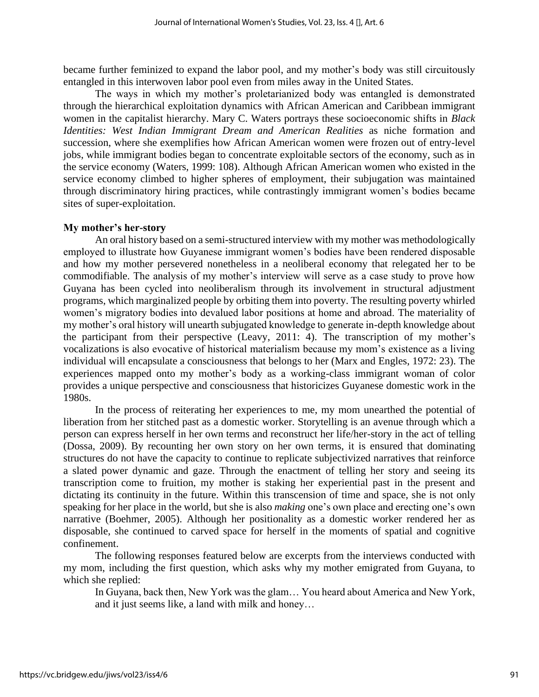became further feminized to expand the labor pool, and my mother's body was still circuitously entangled in this interwoven labor pool even from miles away in the United States.

The ways in which my mother's proletarianized body was entangled is demonstrated through the hierarchical exploitation dynamics with African American and Caribbean immigrant women in the capitalist hierarchy. Mary C. Waters portrays these socioeconomic shifts in *Black Identities: West Indian Immigrant Dream and American Realities* as niche formation and succession, where she exemplifies how African American women were frozen out of entry-level jobs, while immigrant bodies began to concentrate exploitable sectors of the economy, such as in the service economy (Waters, 1999: 108). Although African American women who existed in the service economy climbed to higher spheres of employment, their subjugation was maintained through discriminatory hiring practices, while contrastingly immigrant women's bodies became sites of super-exploitation.

#### **My mother's her-story**

An oral history based on a semi-structured interview with my mother was methodologically employed to illustrate how Guyanese immigrant women's bodies have been rendered disposable and how my mother persevered nonetheless in a neoliberal economy that relegated her to be commodifiable. The analysis of my mother's interview will serve as a case study to prove how Guyana has been cycled into neoliberalism through its involvement in structural adjustment programs, which marginalized people by orbiting them into poverty. The resulting poverty whirled women's migratory bodies into devalued labor positions at home and abroad. The materiality of my mother's oral history will unearth subjugated knowledge to generate in-depth knowledge about the participant from their perspective (Leavy, 2011: 4). The transcription of my mother's vocalizations is also evocative of historical materialism because my mom's existence as a living individual will encapsulate a consciousness that belongs to her (Marx and Engles, 1972: 23). The experiences mapped onto my mother's body as a working-class immigrant woman of color provides a unique perspective and consciousness that historicizes Guyanese domestic work in the 1980s.

In the process of reiterating her experiences to me, my mom unearthed the potential of liberation from her stitched past as a domestic worker. Storytelling is an avenue through which a person can express herself in her own terms and reconstruct her life/her-story in the act of telling (Dossa, 2009). By recounting her own story on her own terms, it is ensured that dominating structures do not have the capacity to continue to replicate subjectivized narratives that reinforce a slated power dynamic and gaze. Through the enactment of telling her story and seeing its transcription come to fruition, my mother is staking her experiential past in the present and dictating its continuity in the future. Within this transcension of time and space, she is not only speaking for her place in the world, but she is also *making* one's own place and erecting one's own narrative (Boehmer, 2005). Although her positionality as a domestic worker rendered her as disposable, she continued to carved space for herself in the moments of spatial and cognitive confinement.

The following responses featured below are excerpts from the interviews conducted with my mom, including the first question, which asks why my mother emigrated from Guyana, to which she replied:

In Guyana, back then, New York was the glam… You heard about America and New York, and it just seems like, a land with milk and honey…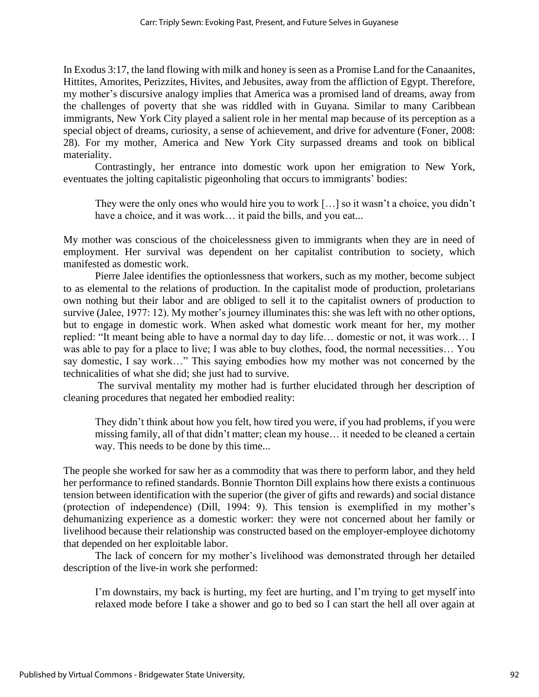In Exodus 3:17, the land flowing with milk and honey is seen as a Promise Land for the Canaanites, Hittites, Amorites, Perizzites, Hivites, and Jebusites, away from the affliction of Egypt. Therefore, my mother's discursive analogy implies that America was a promised land of dreams, away from the challenges of poverty that she was riddled with in Guyana. Similar to many Caribbean immigrants, New York City played a salient role in her mental map because of its perception as a special object of dreams, curiosity, a sense of achievement, and drive for adventure (Foner, 2008: 28). For my mother, America and New York City surpassed dreams and took on biblical materiality.

Contrastingly, her entrance into domestic work upon her emigration to New York, eventuates the jolting capitalistic pigeonholing that occurs to immigrants' bodies:

They were the only ones who would hire you to work […] so it wasn't a choice, you didn't have a choice, and it was work... it paid the bills, and you eat...

My mother was conscious of the choicelessness given to immigrants when they are in need of employment. Her survival was dependent on her capitalist contribution to society, which manifested as domestic work.

Pierre Jalee identifies the optionlessness that workers, such as my mother, become subject to as elemental to the relations of production. In the capitalist mode of production, proletarians own nothing but their labor and are obliged to sell it to the capitalist owners of production to survive (Jalee, 1977: 12). My mother's journey illuminates this: she was left with no other options, but to engage in domestic work. When asked what domestic work meant for her, my mother replied: "It meant being able to have a normal day to day life… domestic or not, it was work… I was able to pay for a place to live; I was able to buy clothes, food, the normal necessities… You say domestic, I say work…" This saying embodies how my mother was not concerned by the technicalities of what she did; she just had to survive.

The survival mentality my mother had is further elucidated through her description of cleaning procedures that negated her embodied reality:

They didn't think about how you felt, how tired you were, if you had problems, if you were missing family, all of that didn't matter; clean my house… it needed to be cleaned a certain way. This needs to be done by this time...

The people she worked for saw her as a commodity that was there to perform labor, and they held her performance to refined standards. Bonnie Thornton Dill explains how there exists a continuous tension between identification with the superior (the giver of gifts and rewards) and social distance (protection of independence) (Dill, 1994: 9). This tension is exemplified in my mother's dehumanizing experience as a domestic worker: they were not concerned about her family or livelihood because their relationship was constructed based on the employer-employee dichotomy that depended on her exploitable labor.

The lack of concern for my mother's livelihood was demonstrated through her detailed description of the live-in work she performed:

I'm downstairs, my back is hurting, my feet are hurting, and I'm trying to get myself into relaxed mode before I take a shower and go to bed so I can start the hell all over again at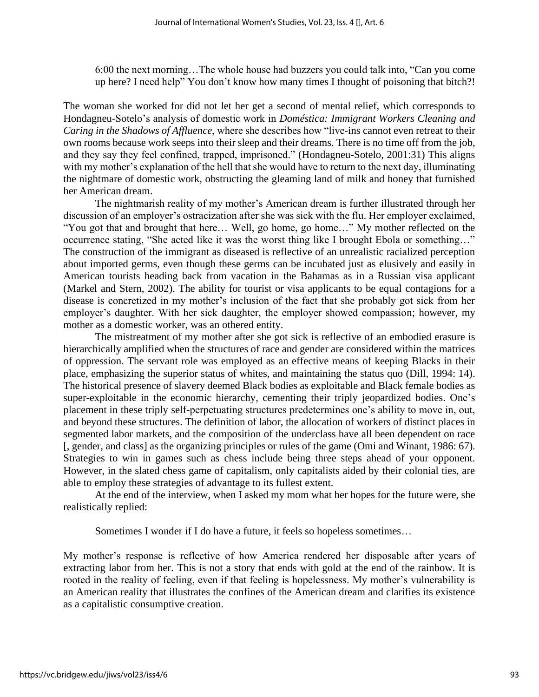6:00 the next morning…The whole house had buzzers you could talk into, "Can you come up here? I need help" You don't know how many times I thought of poisoning that bitch?!

The woman she worked for did not let her get a second of mental relief, which corresponds to Hondagneu-Sotelo's analysis of domestic work in *Doméstica: Immigrant Workers Cleaning and Caring in the Shadows of Affluence*, where she describes how "live-ins cannot even retreat to their own rooms because work seeps into their sleep and their dreams. There is no time off from the job, and they say they feel confined, trapped, imprisoned." (Hondagneu-Sotelo, 2001:31) This aligns with my mother's explanation of the hell that she would have to return to the next day, illuminating the nightmare of domestic work, obstructing the gleaming land of milk and honey that furnished her American dream.

The nightmarish reality of my mother's American dream is further illustrated through her discussion of an employer's ostracization after she was sick with the flu. Her employer exclaimed, "You got that and brought that here… Well, go home, go home…" My mother reflected on the occurrence stating, "She acted like it was the worst thing like I brought Ebola or something…" The construction of the immigrant as diseased is reflective of an unrealistic racialized perception about imported germs, even though these germs can be incubated just as elusively and easily in American tourists heading back from vacation in the Bahamas as in a Russian visa applicant (Markel and Stern, 2002). The ability for tourist or visa applicants to be equal contagions for a disease is concretized in my mother's inclusion of the fact that she probably got sick from her employer's daughter. With her sick daughter, the employer showed compassion; however, my mother as a domestic worker, was an othered entity.

The mistreatment of my mother after she got sick is reflective of an embodied erasure is hierarchically amplified when the structures of race and gender are considered within the matrices of oppression. The servant role was employed as an effective means of keeping Blacks in their place, emphasizing the superior status of whites, and maintaining the status quo (Dill, 1994: 14). The historical presence of slavery deemed Black bodies as exploitable and Black female bodies as super-exploitable in the economic hierarchy, cementing their triply jeopardized bodies. One's placement in these triply self-perpetuating structures predetermines one's ability to move in, out, and beyond these structures. The definition of labor, the allocation of workers of distinct places in segmented labor markets, and the composition of the underclass have all been dependent on race [, gender, and class] as the organizing principles or rules of the game (Omi and Winant, 1986: 67). Strategies to win in games such as chess include being three steps ahead of your opponent. However, in the slated chess game of capitalism, only capitalists aided by their colonial ties, are able to employ these strategies of advantage to its fullest extent.

At the end of the interview, when I asked my mom what her hopes for the future were, she realistically replied:

Sometimes I wonder if I do have a future, it feels so hopeless sometimes…

My mother's response is reflective of how America rendered her disposable after years of extracting labor from her. This is not a story that ends with gold at the end of the rainbow. It is rooted in the reality of feeling, even if that feeling is hopelessness. My mother's vulnerability is an American reality that illustrates the confines of the American dream and clarifies its existence as a capitalistic consumptive creation.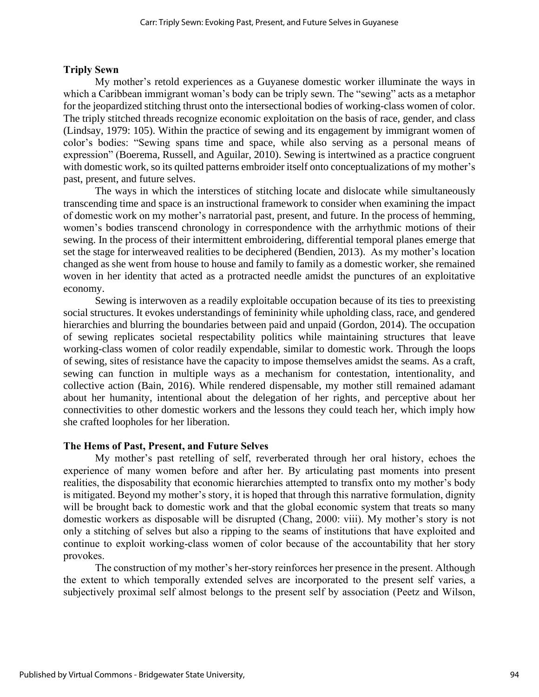#### **Triply Sewn**

My mother's retold experiences as a Guyanese domestic worker illuminate the ways in which a Caribbean immigrant woman's body can be triply sewn. The "sewing" acts as a metaphor for the jeopardized stitching thrust onto the intersectional bodies of working-class women of color. The triply stitched threads recognize economic exploitation on the basis of race, gender, and class (Lindsay, 1979: 105). Within the practice of sewing and its engagement by immigrant women of color's bodies: "Sewing spans time and space, while also serving as a personal means of expression" (Boerema, Russell, and Aguilar, 2010). Sewing is intertwined as a practice congruent with domestic work, so its quilted patterns embroider itself onto conceptualizations of my mother's past, present, and future selves.

The ways in which the interstices of stitching locate and dislocate while simultaneously transcending time and space is an instructional framework to consider when examining the impact of domestic work on my mother's narratorial past, present, and future. In the process of hemming, women's bodies transcend chronology in correspondence with the arrhythmic motions of their sewing. In the process of their intermittent embroidering, differential temporal planes emerge that set the stage for interweaved realities to be deciphered (Bendien, 2013). As my mother's location changed as she went from house to house and family to family as a domestic worker, she remained woven in her identity that acted as a protracted needle amidst the punctures of an exploitative economy.

Sewing is interwoven as a readily exploitable occupation because of its ties to preexisting social structures. It evokes understandings of femininity while upholding class, race, and gendered hierarchies and blurring the boundaries between paid and unpaid (Gordon, 2014). The occupation of sewing replicates societal respectability politics while maintaining structures that leave working-class women of color readily expendable, similar to domestic work. Through the loops of sewing, sites of resistance have the capacity to impose themselves amidst the seams. As a craft, sewing can function in multiple ways as a mechanism for contestation, intentionality, and collective action (Bain, 2016). While rendered dispensable, my mother still remained adamant about her humanity, intentional about the delegation of her rights, and perceptive about her connectivities to other domestic workers and the lessons they could teach her, which imply how she crafted loopholes for her liberation.

### **The Hems of Past, Present, and Future Selves**

My mother's past retelling of self, reverberated through her oral history, echoes the experience of many women before and after her. By articulating past moments into present realities, the disposability that economic hierarchies attempted to transfix onto my mother's body is mitigated. Beyond my mother's story, it is hoped that through this narrative formulation, dignity will be brought back to domestic work and that the global economic system that treats so many domestic workers as disposable will be disrupted (Chang, 2000: viii). My mother's story is not only a stitching of selves but also a ripping to the seams of institutions that have exploited and continue to exploit working-class women of color because of the accountability that her story provokes.

The construction of my mother's her-story reinforces her presence in the present. Although the extent to which temporally extended selves are incorporated to the present self varies, a subjectively proximal self almost belongs to the present self by association (Peetz and Wilson,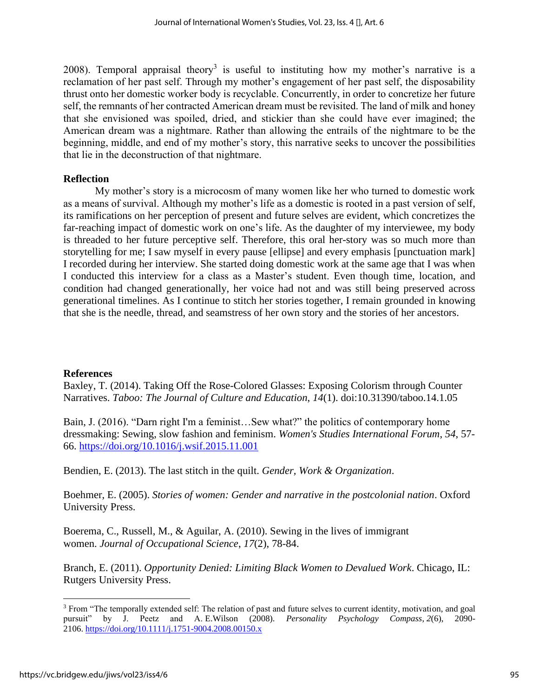2008). Temporal appraisal theory<sup>3</sup> is useful to instituting how my mother's narrative is a reclamation of her past self. Through my mother's engagement of her past self, the disposability thrust onto her domestic worker body is recyclable. Concurrently, in order to concretize her future self, the remnants of her contracted American dream must be revisited. The land of milk and honey that she envisioned was spoiled, dried, and stickier than she could have ever imagined; the American dream was a nightmare. Rather than allowing the entrails of the nightmare to be the beginning, middle, and end of my mother's story, this narrative seeks to uncover the possibilities that lie in the deconstruction of that nightmare.

## **Reflection**

My mother's story is a microcosm of many women like her who turned to domestic work as a means of survival. Although my mother's life as a domestic is rooted in a past version of self, its ramifications on her perception of present and future selves are evident, which concretizes the far-reaching impact of domestic work on one's life. As the daughter of my interviewee, my body is threaded to her future perceptive self. Therefore, this oral her-story was so much more than storytelling for me; I saw myself in every pause [ellipse] and every emphasis [punctuation mark] I recorded during her interview. She started doing domestic work at the same age that I was when I conducted this interview for a class as a Master's student. Even though time, location, and condition had changed generationally, her voice had not and was still being preserved across generational timelines. As I continue to stitch her stories together, I remain grounded in knowing that she is the needle, thread, and seamstress of her own story and the stories of her ancestors.

## **References**

Baxley, T. (2014). Taking Off the Rose-Colored Glasses: Exposing Colorism through Counter Narratives. *Taboo: The Journal of Culture and Education*, *14*(1). doi:10.31390/taboo.14.1.05

Bain, J. (2016). "Darn right I'm a feminist…Sew what?" the politics of contemporary home dressmaking: Sewing, slow fashion and feminism. *Women's Studies International Forum*, *54*, 57- 66. <https://doi.org/10.1016/j.wsif.2015.11.001>

Bendien, E. (2013). The last stitch in the quilt. *Gender, Work & Organization*.

Boehmer, E. (2005). *Stories of women: Gender and narrative in the postcolonial nation*. Oxford University Press.

Boerema, C., Russell, M., & Aguilar, A. (2010). Sewing in the lives of immigrant women. *Journal of Occupational Science*, *17*(2), 78-84.

Branch, E. (2011). *Opportunity Denied: Limiting Black Women to Devalued Work*. Chicago, IL: Rutgers University Press.

<sup>3</sup> From "The temporally extended self: The relation of past and future selves to current identity, motivation, and goal pursuit" by J. Peetz and A. E.Wilson (2008). *Personality Psychology Compass*, *2*(6), 2090- 2106. <https://doi.org/10.1111/j.1751-9004.2008.00150.x>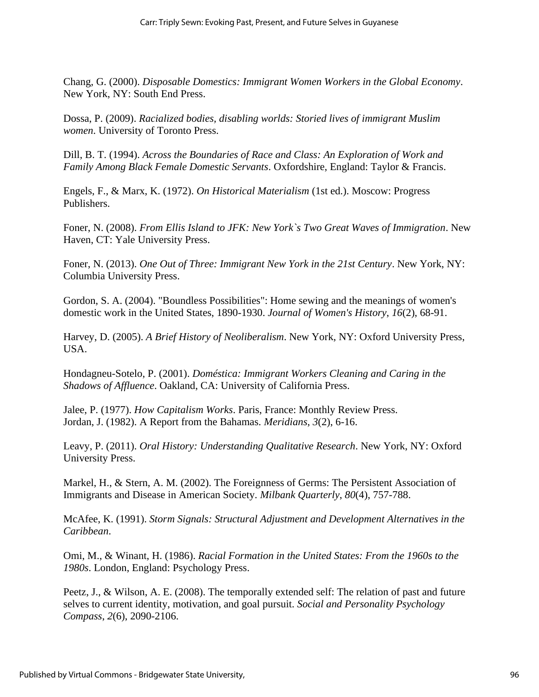Chang, G. (2000). *Disposable Domestics: Immigrant Women Workers in the Global Economy*. New York, NY: South End Press.

Dossa, P. (2009). *Racialized bodies, disabling worlds: Storied lives of immigrant Muslim women*. University of Toronto Press.

Dill, B. T. (1994). *Across the Boundaries of Race and Class: An Exploration of Work and Family Among Black Female Domestic Servants*. Oxfordshire, England: Taylor & Francis.

Engels, F., & Marx, K. (1972). *On Historical Materialism* (1st ed.). Moscow: Progress Publishers.

Foner, N. (2008). *From Ellis Island to JFK: New York`s Two Great Waves of Immigration*. New Haven, CT: Yale University Press.

Foner, N. (2013). *One Out of Three: Immigrant New York in the 21st Century*. New York, NY: Columbia University Press.

Gordon, S. A. (2004). "Boundless Possibilities": Home sewing and the meanings of women's domestic work in the United States, 1890-1930. *Journal of Women's History*, *16*(2), 68-91.

Harvey, D. (2005). *A Brief History of Neoliberalism*. New York, NY: Oxford University Press, USA.

Hondagneu-Sotelo, P. (2001). *Doméstica: Immigrant Workers Cleaning and Caring in the Shadows of Affluence*. Oakland, CA: University of California Press.

Jalee, P. (1977). *How Capitalism Works*. Paris, France: Monthly Review Press. Jordan, J. (1982). A Report from the Bahamas. *Meridians*, *3*(2), 6-16.

Leavy, P. (2011). *Oral History: Understanding Qualitative Research*. New York, NY: Oxford University Press.

Markel, H., & Stern, A. M. (2002). The Foreignness of Germs: The Persistent Association of Immigrants and Disease in American Society. *Milbank Quarterly*, *80*(4), 757-788.

McAfee, K. (1991). *Storm Signals: Structural Adjustment and Development Alternatives in the Caribbean*.

Omi, M., & Winant, H. (1986). *Racial Formation in the United States: From the 1960s to the 1980s*. London, England: Psychology Press.

Peetz, J., & Wilson, A. E. (2008). The temporally extended self: The relation of past and future selves to current identity, motivation, and goal pursuit. *Social and Personality Psychology Compass*, *2*(6), 2090-2106.